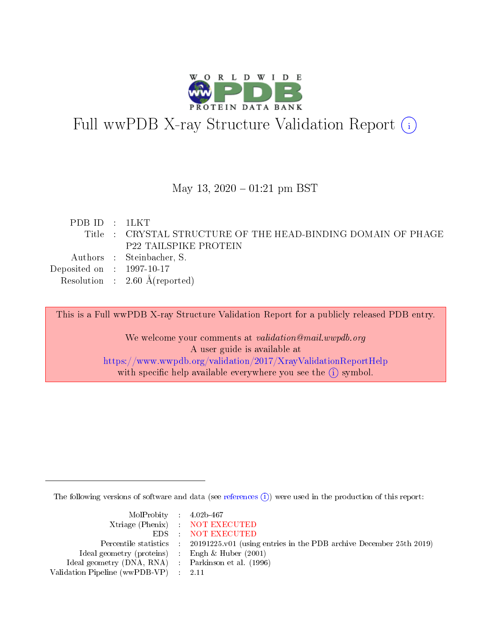

# Full wwPDB X-ray Structure Validation Report (i)

### May 13,  $2020 - 01:21$  pm BST

| PDBID : ILKT                         |                                                               |
|--------------------------------------|---------------------------------------------------------------|
|                                      | Title : CRYSTAL STRUCTURE OF THE HEAD-BINDING DOMAIN OF PHAGE |
|                                      | <b>P22 TAILSPIKE PROTEIN</b>                                  |
|                                      | Authors : Steinbacher, S.                                     |
| Deposited on $\therefore$ 1997-10-17 |                                                               |
|                                      | Resolution : $2.60 \text{ Å}$ (reported)                      |
|                                      |                                                               |

This is a Full wwPDB X-ray Structure Validation Report for a publicly released PDB entry.

We welcome your comments at validation@mail.wwpdb.org A user guide is available at <https://www.wwpdb.org/validation/2017/XrayValidationReportHelp> with specific help available everywhere you see the  $(i)$  symbol.

The following versions of software and data (see [references](https://www.wwpdb.org/validation/2017/XrayValidationReportHelp#references)  $\overline{(1)}$ ) were used in the production of this report:

| $MolProbability$ 4.02b-467                          |                                                                    |
|-----------------------------------------------------|--------------------------------------------------------------------|
|                                                     | Xtriage (Phenix) NOT EXECUTED                                      |
|                                                     | EDS : NOT EXECUTED                                                 |
| Percentile statistics :                             | 20191225.v01 (using entries in the PDB archive December 25th 2019) |
| Ideal geometry (proteins) :                         | Engh $\&$ Huber (2001)                                             |
| Ideal geometry (DNA, RNA) : Parkinson et al. (1996) |                                                                    |
| Validation Pipeline (wwPDB-VP) : 2.11               |                                                                    |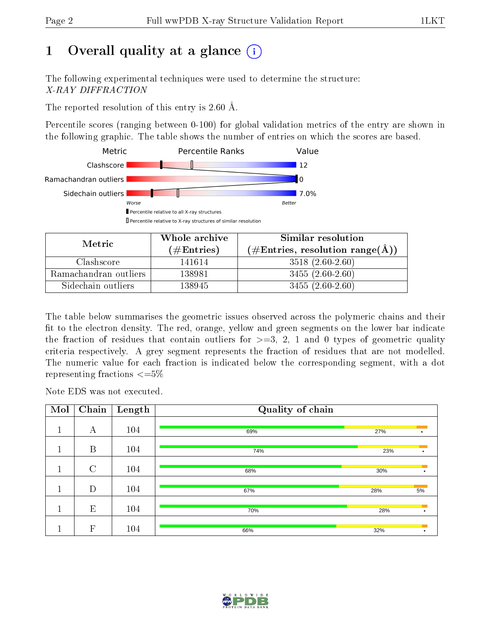# 1 [O](https://www.wwpdb.org/validation/2017/XrayValidationReportHelp#overall_quality)verall quality at a glance  $(i)$

The following experimental techniques were used to determine the structure: X-RAY DIFFRACTION

The reported resolution of this entry is 2.60 Å.

Percentile scores (ranging between 0-100) for global validation metrics of the entry are shown in the following graphic. The table shows the number of entries on which the scores are based.



| Metric                | Whole archive       | Similar resolution                                        |  |  |  |  |
|-----------------------|---------------------|-----------------------------------------------------------|--|--|--|--|
|                       | (# $\rm{Entries}$ ) | $(\#\text{Entries}, \text{resolution range}(\text{\AA}))$ |  |  |  |  |
| Clashscore            | 141614              | $3518(2.60-2.60)$                                         |  |  |  |  |
| Ramachandran outliers | 138981              | $3455(2.60-2.60)$                                         |  |  |  |  |
| Sidechain outliers    | 138945              | $3455(2.60-2.60)$                                         |  |  |  |  |

The table below summarises the geometric issues observed across the polymeric chains and their fit to the electron density. The red, orange, yellow and green segments on the lower bar indicate the fraction of residues that contain outliers for  $\geq=3$ , 2, 1 and 0 types of geometric quality criteria respectively. A grey segment represents the fraction of residues that are not modelled. The numeric value for each fraction is indicated below the corresponding segment, with a dot representing fractions  $\leq=5\%$ 

Note EDS was not executed.

| Mol          | Chain         | Length | Quality of chain |     |    |
|--------------|---------------|--------|------------------|-----|----|
| 1            | А             | 104    | 69%              | 27% |    |
| 1            | B             | 104    | 74%              | 23% |    |
| -1           | $\mathcal{C}$ | 104    | 68%              | 30% |    |
| $\mathbf{1}$ | D             | 104    | 67%              | 28% | 5% |
|              | E             | 104    | 70%              | 28% |    |
|              | $\mathbf{F}$  | 104    | 66%              | 32% |    |

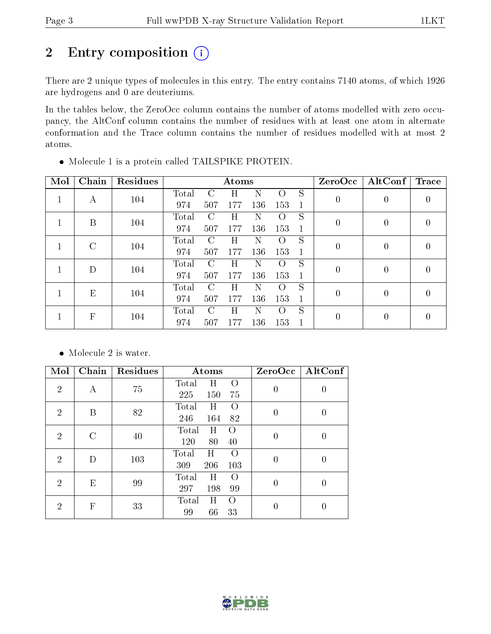# 2 Entry composition (i)

There are 2 unique types of molecules in this entry. The entry contains 7140 atoms, of which 1926 are hydrogens and 0 are deuteriums.

In the tables below, the ZeroOcc column contains the number of atoms modelled with zero occupancy, the AltConf column contains the number of residues with at least one atom in alternate conformation and the Trace column contains the number of residues modelled with at most 2 atoms.

| Mol | Chain         | Residues |       |               | Atoms   |     |          |             | ZeroOcc        | AltConf  | Trace |  |
|-----|---------------|----------|-------|---------------|---------|-----|----------|-------------|----------------|----------|-------|--|
|     | A             | 104      | Total | C             | Η       | Ν   | $\Omega$ | S           |                | 0        | 0     |  |
|     |               |          | 974   | 507           | 177     | 136 | 153      |             | 0              |          |       |  |
|     | B             | 104      | Total | C             | Η       | N   | O        | S           | $\overline{0}$ | 0        | 0     |  |
|     |               |          | 974   | 507           | 177     | 136 | 153      | 1           |                |          |       |  |
|     | $\mathcal{C}$ | 104      | Total | $\mathcal{C}$ | H       | N   | $\Omega$ | S           | 0              | 0        | 0     |  |
|     |               |          | 974   | 507           | 177     | 136 | 153      |             |                |          |       |  |
|     | $\mathcal{D}$ | 104      | Total | $\mathcal{C}$ | $\rm H$ | Ν   | $\left($ | S           | $\overline{0}$ | $\theta$ | 0     |  |
|     |               |          | 974   | 507           | 177     | 136 | 153      | $\mathbf 1$ |                |          |       |  |
|     | E             | 104      | Total | C             | Η       | Ν   | Ω        | S           | $\theta$       | 0        | 0     |  |
|     |               |          | 974   | 507           | 177     | 136 | 153      | 1           |                |          |       |  |
|     | $\mathbf{F}$  | 104      | Total | $\mathcal{C}$ | H       | N   | $\Omega$ | S           | 0              |          |       |  |
|     |               |          | 974   | 507           | 177     | 136 | 153      |             |                | 0        |       |  |

Molecule 1 is a protein called TAILSPIKE PROTEIN.

• Molecule 2 is water.

| Mol            | Chain   | <b>Residues</b> | Atoms                                               | ZeroOcc        | $\operatorname{AltConf}$ |
|----------------|---------|-----------------|-----------------------------------------------------|----------------|--------------------------|
| $\overline{2}$ | А       | 75              | Total<br>Η<br>$\left( \right)$<br>225<br>150<br>75  | $\overline{0}$ | $\overline{0}$           |
| $\overline{2}$ | Β       | 82              | Total<br>Η<br>$\left( \right)$<br>246<br>164<br>82  | $\overline{0}$ | $\overline{0}$           |
| $\overline{2}$ | $\rm C$ | 40              | Η<br>Total<br>$\left( \right)$<br>120<br>80<br>40   | $\theta$       | $\theta$                 |
| $\overline{2}$ | D       | 103             | Η<br>Total<br>$\left( \right)$<br>309<br>206<br>103 | $\theta$       | $\overline{0}$           |
| $\mathcal{D}$  | E       | 99              | Total<br>Η<br>$\left( \right)$<br>297<br>198<br>99  | $\overline{0}$ | $\overline{0}$           |
| $\mathcal{D}$  | F       | 33              | H<br>Total<br>$\Omega$<br>66<br>99<br>33            | 0              | $\theta$                 |

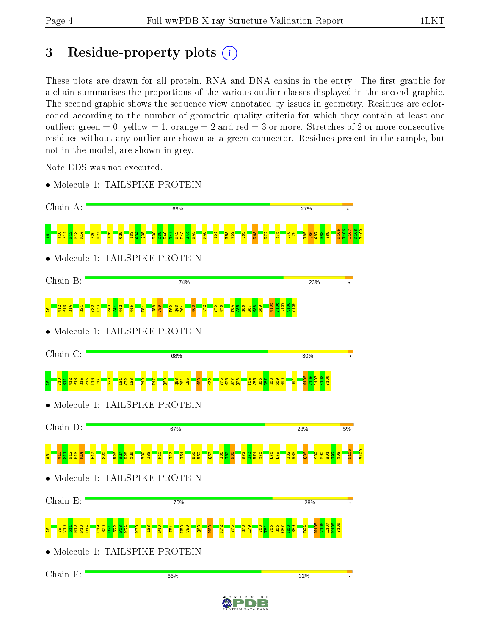# 3 Residue-property plots  $(i)$

These plots are drawn for all protein, RNA and DNA chains in the entry. The first graphic for a chain summarises the proportions of the various outlier classes displayed in the second graphic. The second graphic shows the sequence view annotated by issues in geometry. Residues are colorcoded according to the number of geometric quality criteria for which they contain at least one outlier: green  $= 0$ , yellow  $= 1$ , orange  $= 2$  and red  $= 3$  or more. Stretches of 2 or more consecutive residues without any outlier are shown as a green connector. Residues present in the sample, but not in the model, are shown in grey.

Note EDS was not executed.



• Molecule 1: TAILSPIKE PROTEIN

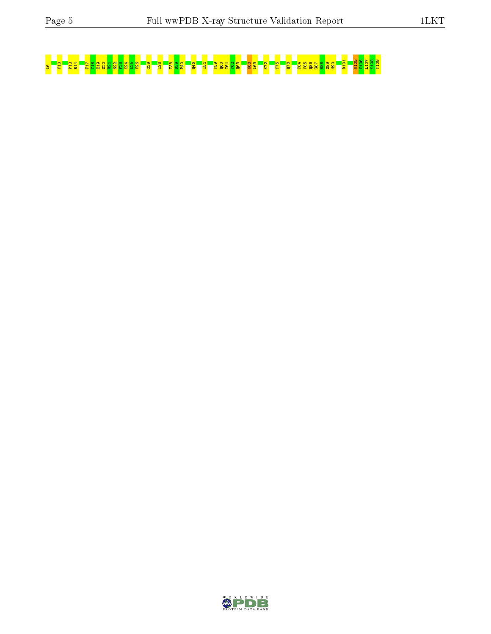|   |  |  |  |      |  | <u> 4 0 1 </u> | <u>ြေ</u>      | ത | യത |  | $\sim$ | $\sim$ |          | െ | <b>NOW!</b> | N 10 N | $\infty$ | <b>I all</b> |  | $\sim$ |  |  |
|---|--|--|--|------|--|----------------|----------------|---|----|--|--------|--------|----------|---|-------------|--------|----------|--------------|--|--------|--|--|
| ஜ |  |  |  | ---- |  |                | <b>Service</b> |   |    |  |        |        | <u>.</u> |   |             |        | F.       | w            |  |        |  |  |

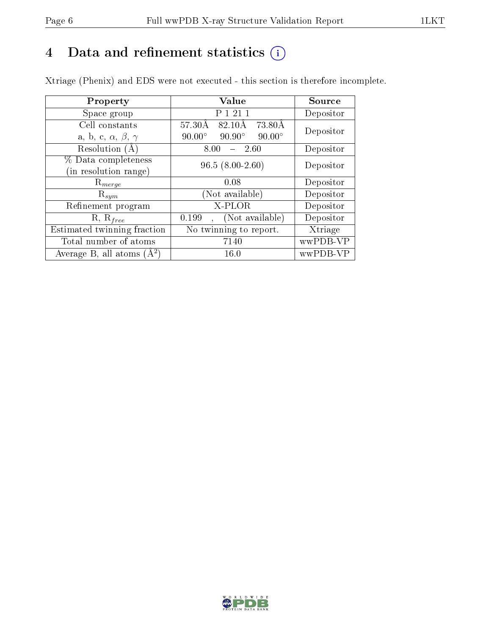# 4 Data and refinement statistics  $(i)$

Xtriage (Phenix) and EDS were not executed - this section is therefore incomplete.

| Property                               | Value                                           | Source    |  |  |
|----------------------------------------|-------------------------------------------------|-----------|--|--|
| Space group                            | P 1 21 1                                        | Depositor |  |  |
| Cell constants                         | $57.30\text{\AA}$<br>82.10Å<br>73.80Å           | Depositor |  |  |
| a, b, c, $\alpha$ , $\beta$ , $\gamma$ | $90.90^\circ$<br>$90.00^\circ$<br>$90.00^\circ$ |           |  |  |
| Resolution $(A)$                       | 8.00<br>- 2.60                                  | Depositor |  |  |
| % Data completeness                    | $96.5(8.00-2.60)$                               | Depositor |  |  |
| (in resolution range)                  |                                                 |           |  |  |
| $\mathrm{R}_{merge}$                   | 0.08                                            | Depositor |  |  |
| $\mathrm{R}_{sym}$                     | (Not available)                                 | Depositor |  |  |
| Refinement program                     | X-PLOR                                          | Depositor |  |  |
| $R, R_{free}$                          | (Not available)<br>0.199                        | Depositor |  |  |
| Estimated twinning fraction            | No twinning to report.                          | Xtriage   |  |  |
| Total number of atoms                  | 7140                                            | wwPDB-VP  |  |  |
| Average B, all atoms $(A^2)$           | 16.0                                            | wwPDB-VP  |  |  |

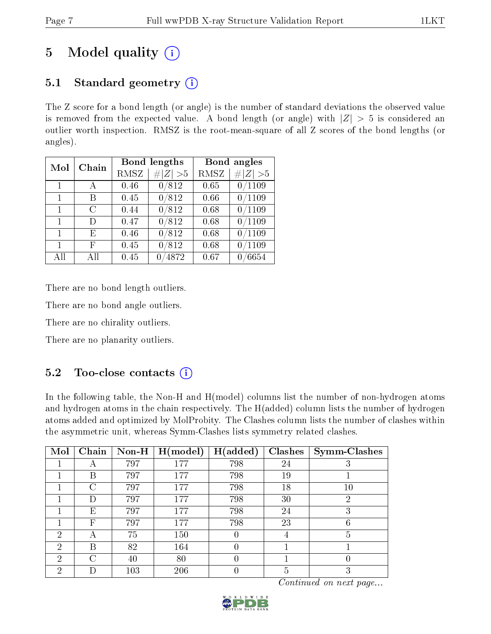# 5 Model quality  $(i)$

# 5.1 Standard geometry  $(i)$

The Z score for a bond length (or angle) is the number of standard deviations the observed value is removed from the expected value. A bond length (or angle) with  $|Z| > 5$  is considered an outlier worth inspection. RMSZ is the root-mean-square of all Z scores of the bond lengths (or angles).

| Mol          | Chain  |             | Bond lengths | Bond angles |             |  |  |
|--------------|--------|-------------|--------------|-------------|-------------|--|--|
|              |        | <b>RMSZ</b> | Z   > 5      | <b>RMSZ</b> | # $ Z  > 5$ |  |  |
| $\mathbf{1}$ |        | 0.46        | 0/812        | 0.65        | 0/1109      |  |  |
| 1            | В      | 0.45        | 0/812        | 0.66        | 0/1109      |  |  |
| 1            | С      | 0.44        | 0/812        | 0.68        | 0/1109      |  |  |
| $\mathbf{1}$ | $\Box$ | 0.47        | 0/812        | 0.68        | 0/1109      |  |  |
| $\mathbf{1}$ | E      | 0.46        | 0/812        | 0.68        | 0/1109      |  |  |
| 1            | F      | 0.45        | 0/812        | 0.68        | /1109       |  |  |
| All          | Αll    | 0.45        | 4872         | 0.67        | /6654       |  |  |

There are no bond length outliers.

There are no bond angle outliers.

There are no chirality outliers.

There are no planarity outliers.

# $5.2$  Too-close contacts  $(i)$

In the following table, the Non-H and H(model) columns list the number of non-hydrogen atoms and hydrogen atoms in the chain respectively. The H(added) column lists the number of hydrogen atoms added and optimized by MolProbity. The Clashes column lists the number of clashes within the asymmetric unit, whereas Symm-Clashes lists symmetry related clashes.

| Mol | Chain | $\bf Non-H$ | H (model) | H(added)         | <b>Clashes</b> | <b>Symm-Clashes</b> |
|-----|-------|-------------|-----------|------------------|----------------|---------------------|
|     | A     | 797         | 177       | 798              | 24             | 3                   |
|     | В     | 797         | $177\,$   | 798              | 19             |                     |
|     | C     | 797         | 177       | 798              | 18             | $10\,$              |
|     | Ð     | 797         | 177       | 798              | 30             | 2                   |
|     | Е     | 797         | $177\,$   | 798              | 24             | 3                   |
|     | F     | 797         | 177       | 798              | 23             | 6                   |
| 2   |       | 75          | 150       | 0                |                | 5                   |
| 2   | В     | 82          | 164       | 0                |                |                     |
| 2   | C     | 40          | 80        | $\left( \right)$ |                |                     |
| 2   |       | 103         | 206       |                  | 5              | 3                   |

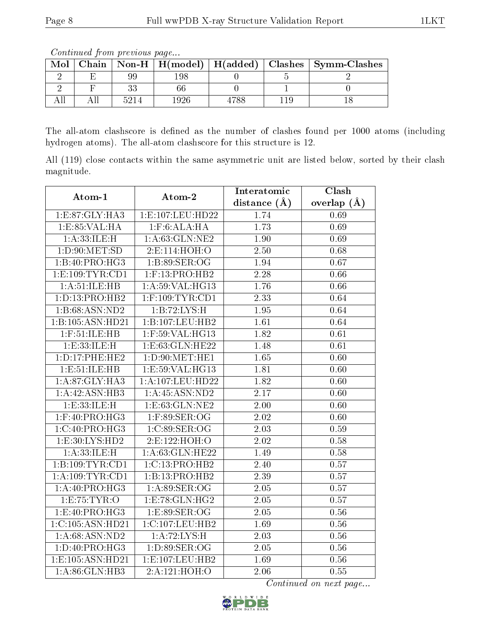The all-atom clashscore is defined as the number of clashes found per 1000 atoms (including hydrogen atoms). The all-atom clashscore for this structure is 12.

All (119) close contacts within the same asymmetric unit are listed below, sorted by their clash magnitude.

| Atom-1              | Atom-2             | Interatomic       | Clash           |
|---------------------|--------------------|-------------------|-----------------|
|                     |                    | distance $(A)$    | overlap $(\AA)$ |
| 1: E:87: GLY: HA3   | 1:E:107:LEU:HD22   | 1.74              | 0.69            |
| 1:E:85:VAL:HA       | $1:$ F:6:ALA:HA    | 1.73              | 0.69            |
| 1: A:33: ILE:H      | 1:A:63:GLN:NE2     | 1.90              | 0.69            |
| 1: D:90:MET:SD      | 2:E:114:HOH:O      | 2.50              | 0.68            |
| 1:B:40:PRO:HG3      | 1:B:89:SER:OG      | 1.94              | 0.67            |
| 1: E: 109: TYR: CD1 | $1:$ F:13:PRO:HB2  | 2.28              | 0.66            |
| 1: A: 51: ILE: HB   | 1: A:59: VAL:HG13  | 1.76              | 0.66            |
| 1:D:13:PRO:HB2      | $1:$ F:109:TYR:CD1 | 2.33              | 0.64            |
| 1:B:68:ASN:ND2      | 1:B:72:LYS:H       | 1.95              | 0.64            |
| 1:B:105:ASN:HD21    | 1:B:107:LEU:HB2    | 1.61              | 0.64            |
| $1:$ F:51:ILE:HB    | 1:F:59:VAL:HG13    | 1.82              | 0.61            |
| 1:E:33:ILE:H        | 1:E:63:GLN:HE22    | 1.48              | 0.61            |
| 1: D: 17: PHE: HE2  | 1: D:90:MET:HE1    | 1.65              | 0.60            |
| 1: E: 51: ILE: HB   | 1:E:59:VAL:HG13    | 1.81              | 0.60            |
| 1:A:87:GLY:HA3      | 1:A:107:LEU:HD22   | 1.82              | 0.60            |
| 1: A:42: ASN:HB3    | 1:A:45:ASN:ND2     | 2.17              | 0.60            |
| 1:E:33:ILE:H        | 1: E: 63: GLN: NE2 | 2.00              | 0.60            |
| 1:F:40:PRO:HG3      | $1:$ F:89:SER:OG   | 2.02              | 0.60            |
| 1:C:40:PRO:HG3      | 1:C:89:SER:OG      | 2.03              | 0.59            |
| 1:E:30:LYS:HD2      | 2:E:122:HOH:O      | 2.02              | 0.58            |
| 1: A:33: ILE:H      | 1: A:63: GLN: HE22 | 1.49              | 0.58            |
| 1:B:109:TYR:CD1     | 1:C:13:PRO:HB2     | 2.40              | 0.57            |
| 1: A: 109: TYR: CD1 | 1:B:13:PRO:HB2     | 2.39              | 0.57            |
| 1:A:40:PRO:HG3      | 1: A:89: SER:OG    | $\overline{2.05}$ | 0.57            |
| 1: E: 75: TYR: O    | 1: E: 78: GLN: HG2 | 2.05              | 0.57            |
| 1: E:40: PRO:HG3    | 1:E:89:SER:OG      | $\overline{2.05}$ | 0.56            |
| 1:C:105:ASN:HD21    | 1:C:107:LEU:HB2    | 1.69              | 0.56            |
| 1: A:68: ASN:ND2    | 1:A:72:LYS:H       | 2.03              | $0.56\,$        |
| 1: D: 40: PRO:HG3   | 1:D:89:SER:OG      | 2.05              | $0.56\,$        |
| 1:E:105:ASN:HD21    | 1:E:107:LEU:HB2    | 1.69              | 0.56            |
| 1:A:86:GLN:HB3      | 2:A:121:HOH:O      | 2.06              | 0.55            |



Mol | Chain | Non-H | H(model) | H(added) | Clashes | Symm-Clashes 2 | E | 99 | 198 | 0 | 5 | 2  $2 \mid F \mid 33 \mid 66 \mid 0 \mid 1 \mid 0$ All | All | 5214 | 1926 | 4788 | 119 | 18

Continued from previous page...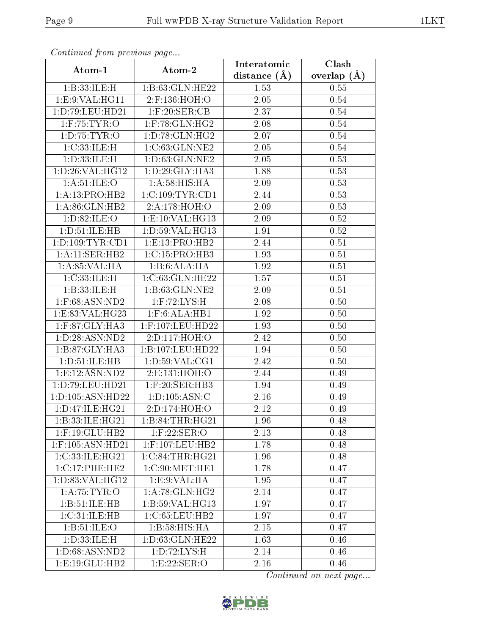| Continued from previous page |                              | Interatomic       | $\overline{\text{Clash}}$ |
|------------------------------|------------------------------|-------------------|---------------------------|
| Atom-1                       | Atom-2                       | distance $(A)$    | overlap $(A)$             |
| 1:B:33:ILE:H                 | 1:B:63:GLN:HE22              | 1.53              | 0.55                      |
| 1:E:9:VAL:H <sub>G11</sub>   | 2:F:136:HOH:O                | 2.05              | 0.54                      |
| 1:D:79:LEU:HD21              | $1:$ F:20:SER:CB             | 2.37              | 0.54                      |
| $1:$ F:75:TYR:O              | 1:F:78:GLN:HG2               | 2.08              | 0.54                      |
| 1: D: 75: TYR: O             | 1: D: 78: GLN: HG2           | 2.07              | 0.54                      |
| 1:C:33:ILE:H                 | 1:C:63:GLN:NE2               | 2.05              | 0.54                      |
| 1: D:33: ILE:H               | 1: D:63: GLN: NE2            | 2.05              | 0.53                      |
| 1: D:26: VAL:HG12            | 1: D:29: GLY: HA3            | 1.88              | 0.53                      |
| 1: A:51: ILE: O              | 1: A:58: HIS: HA             | 2.09              | 0.53                      |
| 1:A:13:PRO:HB2               | 1:C:109:TYR:CD1              | 2.44              | 0.53                      |
| 1:A:86:GLN:HB2               | 2:A:178:HOH:O                | 2.09              | 0.53                      |
| 1: D:82: ILE: O              | 1: E:10: VAL:HG13            | 2.09              | 0.52                      |
| 1: D: 51: ILE: HB            | 1:D:59:VAL:HG13              | 1.91              | 0.52                      |
| 1:D:109:TYR:CD1              | 1: E: 13: PRO: HB2           | 2.44              | 0.51                      |
| 1:A:11:SER:HB2               | $1:C:15:PRO:H\overline{B3}$  | 1.93              | 0.51                      |
| 1: A:85:VAL:HA               | 1:B:6:ALA:HA                 | 1.92              | 0.51                      |
| 1:C:33:ILE:H                 | 1:C:63:GLN:HE22              | 1.57              | 0.51                      |
| 1:B:33:ILE:H                 | 1:B:63:GLN:NE2               | 2.09              | 0.51                      |
| $1:$ F:68:ASN:ND2            | $1:$ F:72:LYS:H              | 2.08              | 0.50                      |
| 1:E:83:VAL:HG23              | 1: F:6: ALA: HB1             | 1.92              | 0.50                      |
| $1:$ F:87:GLY:HA3            | 1:F:107:LEU:HD22             | 1.93              | 0.50                      |
| 1: D: 28: ASN: ND2           | 2:D:117:HOH:O                | 2.42              | 0.50                      |
| 1:B:87:GLY:HA3               | 1:B:107:LEU:HD22             | 1.94              | 0.50                      |
| 1: D:51: ILE: HB             | 1: D: 59: VAL: CG1           | 2.42              | 0.50                      |
| 1:E:12:ASN:ND2               | 2:E:131:HOH:O                | 2.44              | 0.49                      |
| 1:D:79:LEU:HD21              | $1:$ F:20:SER:HB3            | 1.94              | 0.49                      |
| 1:D:105:ASN:HD22             | 1: D: 105: ASN: C            | 2.16              | 0.49                      |
| 1:D:47:ILE:HG21              | 2:D:174:HOH:O                | $\overline{2.12}$ | 0.49                      |
| 1:B:33:ILE:HG21              | 1:B:84:THR:HG21              | 1.96              | 0.48                      |
| $1:$ F:19:GLU:HB2            | $1:$ F:22:SER:O              | 2.13              | 0.48                      |
| 1:F:105:ASN:HD21             | $1:$ F:107:LEU:HB2           | 1.78              | 0.48                      |
| 1:C:33:ILE:HG21              | 1:C:84:THR:HG21              | 1.96              | 0.48                      |
| 1:C:17:PHE:HE2               | 1:C:90:MET:HE1               | 1.78              | 0.47                      |
| 1:D:83:VAL:HG12              | 1:E:9:VAL:HA                 | 1.95              | 0.47                      |
| 1: A:75:TYR:O                | 1: A:78: GLN: HG2            | 2.14              | 0.47                      |
| 1:B:51:ILE:HB                | $1:B:\overline{59:VAL:HG13}$ | 1.97              | 0.47                      |
| $1:C:31:ILE:H\overline{B}$   | 1:C:65:LEU:HB2               | 1.97              | 0.47                      |
| 1: B: 51: ILE: O             | 1:B:58:HIS:HA                | 2.15              | 0.47                      |
| 1: D: 33: ILE:H              | 1:D:63:GLN:HE22              | 1.63              | 0.46                      |
| 1: D:68: ASN:ND2             | 1:D:72:LYS:H                 | 2.14              | 0.46                      |
| 1: E: 19: GLU: HB2           | 1:E:22:SER:O                 | 2.16              | 0.46                      |

Continued from previous page.

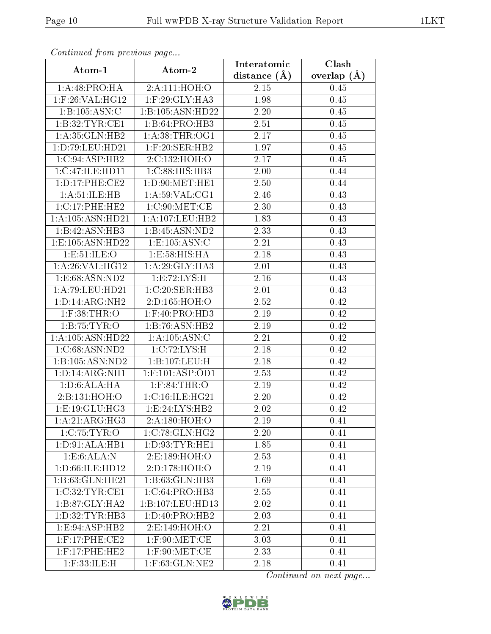|                             | Continued from previous page          |                  | Clash             |
|-----------------------------|---------------------------------------|------------------|-------------------|
| Atom-1                      | Atom-2                                | distance $(\AA)$ | overlap $(\AA)$   |
| 1:A:48:PRO:HA               | 2:A:111:HOH:O                         | 2.15             | 0.45              |
| $1:$ F:26:VAL:HG12          | $1:$ $F:29:$ GLY: $HA3$               | 1.98             | 0.45              |
| 1:B:105:ASN:C               | 1:B:105:ASN:HD22                      | 2.20             | 0.45              |
| 1:B:32:TYR:CE1              | 1:B:64:PRO:HB3                        | 2.51             | 0.45              |
| 1: A: 35: GLN: HB2          | 1: A:38:THR:OG1                       | 2.17             | 0.45              |
| 1:D:79:LEU:HD21             | $1:$ F:20:SER:HB2                     | 1.97             | 0.45              |
| 1:C:94:ASP:HB2              | 2:C:132:HOH:O                         | 2.17             | 0.45              |
| 1:C:47:ILE:HD11             | 1:C:88:HIS:HB3                        | 2.00             | 0.44              |
| 1: D: 17: PHE: CE2          | 1: D:90:MET:HE1                       | 2.50             | 0.44              |
| 1: A: 51: ILE: HB           | 1: A:59: VAL:CG1                      | 2.46             | 0.43              |
| 1: C:17: PHE: HE2           | 1:C:90:MET:CE                         | 2.30             | 0.43              |
| 1:A:105:ASN:HD21            | 1:A:107:LEU:HB2                       | 1.83             | 0.43              |
| 1:B:42:ASN:HB3              | 1:B:45:ASN:ND2                        | 2.33             | 0.43              |
| 1:E:105:ASN:HD22            | 1: E: 105: ASN: C                     | 2.21             | 0.43              |
| 1:E:51:ILE:O                | 1:E:58:HIS:HA                         | 2.18             | 0.43              |
| 1: A:26: VAL:HG12           | 1:A:29:GLY:HA3                        | 2.01             | 0.43              |
| 1: E:68: ASN:ND2            | 1: E: 72: LYS: H                      | 2.16             | 0.43              |
| 1: A:79: LEU: HD21          | 1:C:20:SER:HB3                        | 2.01             | 0.43              |
| $1:D:14:A\overline{RG:NH2}$ | 2:D:165:HOH:O                         | 2.52             | 0.42              |
| $1:$ F:38:THR:O             | $1:$ F:40:PRO:HD3                     | 2.19             | 0.42              |
| 1:B:75:TYR:O                | 1:B:76:ASN:HB2                        | 2.19             | 0.42              |
| 1:A:105:ASN:HD22            | 1: A: 105: ASN: C                     | 2.21             | 0.42              |
| 1:C:68:ASN:ND2              | 1:C:72:LYS:H                          | 2.18             | 0.42              |
| 1:B:105:ASN:ND2             | 1:B:107:LEU:H                         | 2.18             | 0.42              |
| 1: D: 14: ARG: NH1          | $1:$ F:101:ASP:OD1                    | 2.53             | 0.42              |
| 1: D:6: ALA: HA             | $1:$ F:84:THR:O                       | 2.19             | $\overline{0.42}$ |
| 2:B:131:HOH:O               | 1:C:16:ILE:HG21                       | 2.20             | 0.42              |
| 1:E:19:GLU:HG3              | 1:E:24:LYS:HB2                        | 2.02             | 0.42              |
| 1:A:21:ARG:HG3              | 2:A:180:HOH:O                         | 2.19             | 0.41              |
| 1:C:75:TYR:O                | 1:C:78:GLN:HG2                        | 2.20             | 0.41              |
| 1:D:91:ALA:HB1              | 1: D: 93: TYR: HE1                    | 1.85             | 0.41              |
| 1:E:6:ALA:N                 | 2:E:189:HOH:O                         | 2.53             | 0.41              |
| 1: D:66: ILE: HD12          | 2:D:178:HOH:O                         | 2.19             | 0.41              |
| 1:B:63:GLN:HE21             | 1:B:63:GLN:HB3                        | 1.69             | 0.41              |
| 1:C:32:TYR:CE1              | 1:C:64:PRO:HB3                        | 2.55             | 0.41              |
| 1:B:87:GLY:HA2              | 1:B:107:LEU:HD13                      | 2.02             | 0.41              |
| 1:D:32:TYR:HB3              | 1:D:40:PRO:HB2                        | 2.03             | 0.41              |
| 1:E:94:ASP:HB2              | 2:E:149:HOH:O                         | 2.21             | 0.41              |
| $1:$ F:17:PHE:CE2           | $1:$ F:90:MET:CE                      | 3.03             | 0.41              |
| $1:$ F:17:PHE:HE2           | $1:$ F:90:MET: $\overline{\text{CE}}$ | 2.33             | 0.41              |
| $1:$ F:33:ILE:H             | 1:F:63:GLN:NE2                        | 2.18             | 0.41              |

Continued from previous page.

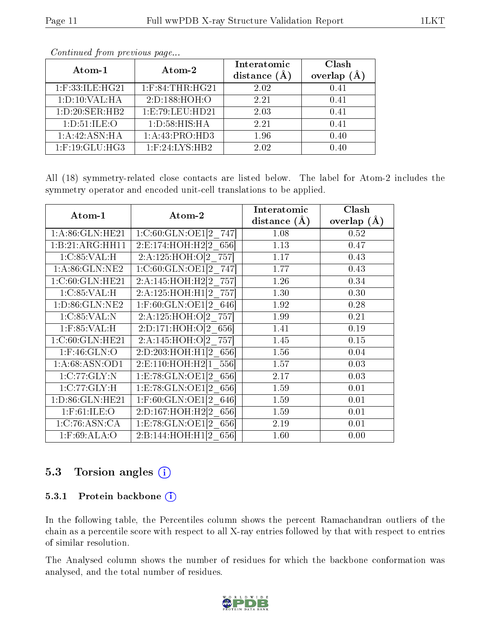| Atom-1                  | Atom-2              | Interatomic    | Clash         |
|-------------------------|---------------------|----------------|---------------|
|                         |                     | distance $(A)$ | (Å<br>overlap |
| $1:$ F:33:ILE:HG21      | $1:$ F:84:THR:HG21  | 2.02           | 0.41          |
| 1:D:10:VAL:HA           | 2:D:188:HOH:O       | 2.21           | 0.41          |
| 1:D:20:SER:HB2          | 1: E: 79: LEU: HD21 | 2.03           | 0.41          |
| 1: D: 51: ILE: O        | 1: D: 58: HIS: HA   | 2.21           | 0.41          |
| 1:A:42:ASN:HA           | 1:A:43:PRO:HD3      | 1.96           | 0.40          |
| $1:$ $F:19:$ GLU: $HG3$ | $1:$ F:24:LYS:HB2   | 2.02           | 0.40          |

Continued from previous page...

All (18) symmetry-related close contacts are listed below. The label for Atom-2 includes the symmetry operator and encoded unit-cell translations to be applied.

| Atom-1             | Atom-2                                | Interatomic<br>distance $(A)$ | Clash<br>overlap $(\AA)$ |
|--------------------|---------------------------------------|-------------------------------|--------------------------|
|                    |                                       |                               |                          |
| 1: A:86: GLN: HE21 | 1:C:60:GLN:OE1[2 747]                 | 1.08                          | 0.52                     |
| 1:B:21:ARG:HH11    | 2: E: 174: HOH: H2[2 656]             | 1.13                          | 0.47                     |
| 1:C:85:VAL:H       | $2:\overline{A:125:HOH:O[2-757]}$     | 1.17                          | 0.43                     |
| 1: A:86: GLN:NE2   | 1:C:60:GLN:OE1[2 747]                 | 1.77                          | 0.43                     |
| 1:C:60:GLN:HE21    | 2:A:145:HOH:H2[2 757]                 | 1.26                          | 0.34                     |
| 1:C:85:VAL:H       | 2:A:125:HOH:H1[2 757]                 | 1.30                          | 0.30                     |
| 1:D:86:GLN:NE2     | $1:$ F:60:GLN:OE1[2 646]              | 1.92                          | 0.28                     |
| 1:C:85:VAL:N       | $2:A:125:H\overline{OH}:O[2\quad757]$ | 1.99                          | 0.21                     |
| $1:$ F:85:VAL:H    | 2:D:171:HOH:O[2 656]                  | 1.41                          | 0.19                     |
| 1:C:60:GLN:HE21    | 2:A:145:HOH:O[2 757]                  | 1.45                          | 0.15                     |
| $1:$ F:46:GLN:O    | 2:D:203:HOH:H1[2 656]                 | 1.56                          | 0.04                     |
| 1:A:68:ASN:OD1     | 2:E:110:HOH:H2[1 556]                 | 1.57                          | 0.03                     |
| 1:C:77:GLY:N       | 1:E:78:GLN:OE1[2 656]                 | 2.17                          | 0.03                     |
| 1:C:77:GLY:H       | 1:E:78:GLN:OE1[2 656]                 | 1.59                          | 0.01                     |
| 1: D:86: GLN: HE21 | $1:$ F:60:GLN:OE1[2 646]              | 1.59                          | 0.01                     |
| $1:$ F:61:ILE:O    | 2:D:167:HOH:H2[2 656]                 | 1.59                          | 0.01                     |
| 1:C:76:ASN:CA      | 1:E:78:GLN:OE1[2 656]                 | 2.19                          | 0.01                     |
| $1:$ F:69:ALA:O    | 2:B:144:HOH:H1[2 656]                 | 1.60                          | 0.00                     |

### 5.3 Torsion angles (i)

#### 5.3.1 Protein backbone (i)

In the following table, the Percentiles column shows the percent Ramachandran outliers of the chain as a percentile score with respect to all X-ray entries followed by that with respect to entries of similar resolution.

The Analysed column shows the number of residues for which the backbone conformation was analysed, and the total number of residues.

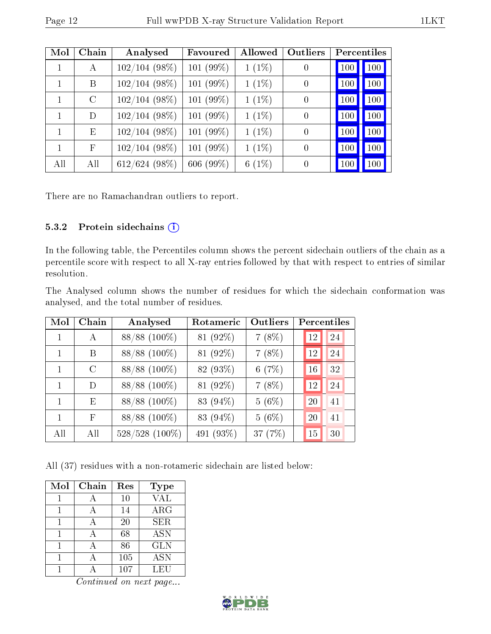| Mol | Chain        | Analysed        | Favoured     | Allowed  | Outliers         |     | Percentiles      |
|-----|--------------|-----------------|--------------|----------|------------------|-----|------------------|
| 1   | А            | $102/104$ (98%) | 101 $(99\%)$ | $1(1\%)$ | 0                | 100 | 100 <sup>1</sup> |
|     | B            | $102/104(98\%)$ | 101 $(99\%)$ | $1(1\%)$ | $\boldsymbol{0}$ | 100 | 100              |
|     | $\rm C$      | $102/104(98\%)$ | 101 $(99\%)$ | $1(1\%)$ | 0                | 100 | 100              |
| 1   | D            | $102/104(98\%)$ | 101 $(99\%)$ | $1(1\%)$ | $\overline{0}$   | 100 | 100              |
| 1   | E            | $102/104$ (98%) | 101 (99%)    | $1(1\%)$ | $\overline{0}$   | 100 | 100              |
| 1   | $\mathbf{F}$ | $102/104(98\%)$ | 101 $(99\%)$ | $1(1\%)$ | $\overline{0}$   | 100 | 100              |
| All | All          | 612/624 (98%)   | 606 $(99\%)$ | $6(1\%)$ | $\overline{0}$   | 100 | 100              |

There are no Ramachandran outliers to report.

#### 5.3.2 Protein sidechains (i)

In the following table, the Percentiles column shows the percent sidechain outliers of the chain as a percentile score with respect to all X-ray entries followed by that with respect to entries of similar resolution.

The Analysed column shows the number of residues for which the sidechain conformation was analysed, and the total number of residues.

| Mol | Chain        | Analysed       | Rotameric | Outliers | Percentiles |
|-----|--------------|----------------|-----------|----------|-------------|
|     | $\mathsf{A}$ | 88/88 (100%)   | 81 (92%)  | 7(8%)    | 24<br>12    |
|     | В            | 88/88 (100%)   | 81 (92%)  | 7(8%)    | 24<br>12    |
|     | $\Gamma$     | 88/88 (100%)   | 82 (93%)  | 6(7%)    | 32<br>16    |
| 1   | D            | 88/88 (100%)   | 81 (92%)  | $7(8\%)$ | 24<br>12    |
| 1   | E            | 88/88 (100%)   | 83 (94%)  | $5(6\%)$ | 41<br>20    |
| 1   | F            | 88/88 (100%)   | 83 (94%)  | 5(6%)    | 41<br>20    |
| All | All          | 528/528 (100%) | 491 (93%) | 37 (7%)  | 15<br>30    |

All (37) residues with a non-rotameric sidechain are listed below:

| Mol | Chain | Res | <b>Type</b>             |
|-----|-------|-----|-------------------------|
|     |       | 10  | $\overline{\text{VAL}}$ |
|     |       | 14  | ARG                     |
|     |       | 20  | <b>SER</b>              |
|     |       | 68  | <b>ASN</b>              |
|     |       | 86  | <b>GLN</b>              |
|     |       | 105 | <b>ASN</b>              |
|     |       | 107 | LEU                     |

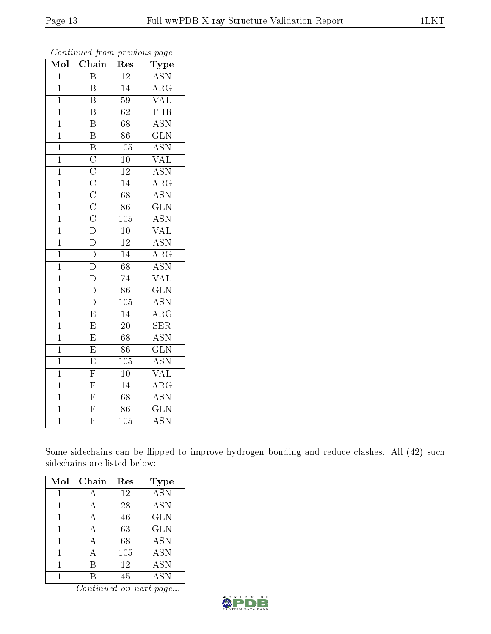| Mol            | Chain                                                                                                              | $\operatorname{Res}% \left( \mathcal{N}\right) \equiv\operatorname{Res}(\mathcal{N}_{0})\cap\mathcal{N}_{1}$ | Type                      |
|----------------|--------------------------------------------------------------------------------------------------------------------|--------------------------------------------------------------------------------------------------------------|---------------------------|
| $\overline{1}$ | $\overline{\mathrm{B}}$                                                                                            | $\overline{12}$                                                                                              | <b>ASN</b>                |
| $\overline{1}$ | $\overline{B}$                                                                                                     | 14                                                                                                           | $\rm{ARG}$                |
| $\overline{1}$ | $\overline{\mathrm{B}}$                                                                                            | $\overline{59}$                                                                                              | $\overline{\text{VAL}}$   |
| $\overline{1}$ | $\overline{\mathrm{B}}$                                                                                            | $\overline{62}$                                                                                              | <b>THR</b>                |
| $\mathbf{1}$   | $\overline{\mathrm{B}}$                                                                                            | 68                                                                                                           | $\overline{\text{ASN}}$   |
| $\mathbf{1}$   | $\overline{\mathrm{B}}$                                                                                            | 86                                                                                                           | $\overline{\text{GLN}}$   |
| $\mathbf{1}$   | $\overline{B}$                                                                                                     | 105                                                                                                          | <b>ASN</b>                |
| $\overline{1}$ | $\overline{C}$                                                                                                     | $\overline{10}$                                                                                              | $\overline{\text{VAL}}$   |
| $\mathbf{1}$   |                                                                                                                    | $\overline{12}$                                                                                              | $\overline{\mathrm{ASN}}$ |
| $\mathbf{1}$   |                                                                                                                    | 14                                                                                                           | $\overline{\rm{ARG}}$     |
| $\mathbf{1}$   | $\overline{\frac{\text{C}}{\text{C}}}} \overline{\frac{\text{C}}{\text{C}}}} \overline{\frac{\text{C}}{\text{D}}}$ | $\overline{68}$                                                                                              | <b>ASN</b>                |
| $\overline{1}$ |                                                                                                                    | $\overline{86}$                                                                                              | $\overline{\text{GLN}}$   |
| $\overline{1}$ |                                                                                                                    | 105                                                                                                          | $\overline{\text{ASN}}$   |
| $\mathbf{1}$   |                                                                                                                    | $10\,$                                                                                                       | $\overline{\text{VAL}}$   |
| $\overline{1}$ | $\overline{\rm D}$                                                                                                 | $\overline{12}$                                                                                              | $\overline{\text{ASN}}$   |
| $\mathbf{1}$   | $\overline{D}$                                                                                                     | $\overline{14}$                                                                                              | $\overline{\rm{ARG}}$     |
| $\overline{1}$ | $\overline{\rm D}$                                                                                                 | $\overline{68}$                                                                                              | $\overline{\mathrm{ASN}}$ |
| $\overline{1}$ | $\overline{\rm D}$                                                                                                 | $\overline{74}$                                                                                              | $\overline{\text{VAL}}$   |
| $\mathbf{1}$   | $\overline{\rm D}$                                                                                                 | $\overline{86}$                                                                                              | $\overline{\text{GLN}}$   |
| $\mathbf 1$    | $\overline{\rm D}$                                                                                                 | $\overline{105}$                                                                                             | <b>ASN</b>                |
| $\mathbf{1}$   | $\overline{\mathrm{E}}$                                                                                            | $\overline{14}$                                                                                              | $\overline{\rm{ARG}}$     |
| $\overline{1}$ | $\overline{E}$                                                                                                     | $\overline{20}$                                                                                              | $\overline{\text{SER}}$   |
| $\mathbf{1}$   | $\overline{\mathrm{E}}$                                                                                            | $\overline{68}$                                                                                              | $\overline{\mathrm{ASN}}$ |
| $\mathbf{1}$   | $\overline{\mathrm{E}}$                                                                                            | 86                                                                                                           | $\overline{\text{GLN}}$   |
| $\mathbf{1}$   | $\overline{E}$                                                                                                     | 105                                                                                                          | $\overline{\mathrm{ASN}}$ |
| $\mathbf{1}$   | $\overline{F}$                                                                                                     | $\overline{10}$                                                                                              | $\overline{\text{VAL}}$   |
| $\mathbf 1$    | $\frac{\overline{F}}{\overline{F}}$                                                                                | 14                                                                                                           | $\overline{\rm{ARG}}$     |
| $\mathbf{1}$   |                                                                                                                    | $\overline{68}$                                                                                              | <b>ASN</b>                |
| $\mathbf 1$    | $\overline{\overline{\mathrm{F}}}$                                                                                 | 86                                                                                                           | $\overline{\text{GLN}}$   |
| $\overline{1}$ | $\overline{\mathrm{F}}$                                                                                            | 105                                                                                                          | ASN                       |

Continued from previous page...

Some sidechains can be flipped to improve hydrogen bonding and reduce clashes. All (42) such sidechains are listed below:

| Mol | Chain        | Res | <b>Type</b>      |
|-----|--------------|-----|------------------|
|     |              | 12  | $\overline{ASN}$ |
|     |              | 28  | <b>ASN</b>       |
| 1   | А            | 46  | <b>GLN</b>       |
| 1   | А            | 63  | <b>GLN</b>       |
| 1   | $\mathbf{A}$ | 68  | <b>ASN</b>       |
| 1   |              | 105 | <b>ASN</b>       |
|     |              | 12  | <b>ASN</b>       |
|     |              | 45  | <b>ASN</b>       |

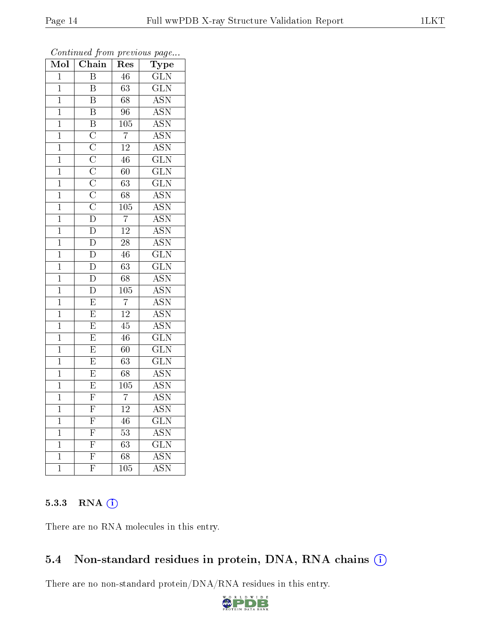| Mol            | Chain                   | Res              | Type                      |
|----------------|-------------------------|------------------|---------------------------|
| $\mathbf{1}$   | $\overline{\mathrm{B}}$ | 46               | $\overline{\text{GLN}}$   |
| $\overline{1}$ | $\overline{\mathrm{B}}$ | $\overline{63}$  | $\overline{\text{GLN}}$   |
| $\mathbf{1}$   | $\overline{\mathrm{B}}$ | $\overline{68}$  | <b>ASN</b>                |
| $\mathbf{1}$   | $\overline{\mathrm{B}}$ | $\overline{96}$  | <b>ASN</b>                |
| $\mathbf{1}$   | $\overline{\mathrm{B}}$ | $\overline{105}$ | <b>ASN</b>                |
| $\mathbf 1$    | $\overline{\mathrm{C}}$ | $\overline{7}$   | $\overline{\mathrm{ASN}}$ |
| $\mathbf{1}$   | $\overline{\rm C}$      | $\overline{12}$  | $\rm \overline{ASN}$      |
| $\mathbf 1$    | $\overline{\text{C}}$   | 46               | $\overline{\text{GLN}}$   |
| $\mathbf 1$    | $\overline{C}$          | 60               | $\overline{\text{GLN}}$   |
| $\overline{1}$ | $\overline{\rm C}$      | $\overline{63}$  | $\overline{\text{GLN}}$   |
| $\overline{1}$ | $\overline{\rm C}$      | 68               | $\overline{\text{ASN}}$   |
| $\overline{1}$ | $\overline{\rm C}$      | $\overline{105}$ | $\overline{\text{ASN}}$   |
| $\mathbf 1$    | $\overline{\rm D}$      | $\overline{7}$   | $\overline{\text{ASN}}$   |
| $\mathbf{1}$   | $\overline{\rm D}$      | $\overline{12}$  | $\overline{\mathrm{ASN}}$ |
| $\mathbf 1$    | $\overline{\rm D}$      | $\overline{28}$  | $\overline{\mathrm{ASN}}$ |
| $\mathbf 1$    | $\overline{\rm D}$      | 46               | $\overline{\text{GLN}}$   |
| $\mathbf 1$    | $\overline{\rm D}$      | $\overline{63}$  | $\overline{\text{GLN}}$   |
| $\mathbf{1}$   | $\overline{\rm D}$      | 68               | <b>ASN</b>                |
| $\mathbf{1}$   | $\overline{\rm D}$      | $\overline{105}$ | <b>ASN</b>                |
| $\mathbf{1}$   | $\overline{\mathrm{E}}$ | $\overline{7}$   | $\overline{\text{ASN}}$   |
| $\mathbf 1$    | $\overline{\mathrm{E}}$ | $\overline{12}$  | $\overline{\mathrm{ASN}}$ |
| $\mathbf 1$    | $\overline{\mathrm{E}}$ | $\overline{45}$  | $\overline{\mathrm{ASN}}$ |
| $\mathbf 1$    | $\overline{\mathrm{E}}$ | 46               | $\overline{\text{GLN}}$   |
| $\mathbf 1$    | $\overline{\mathrm{E}}$ | 60               | $\overline{\text{GLN}}$   |
| $\overline{1}$ | $\overline{\mathrm{E}}$ | $\overline{63}$  | $\overline{\text{GLN}}$   |
| $\mathbf{1}$   | $\overline{\mathrm{E}}$ | 68               | <b>ASN</b>                |
| $\mathbf{1}$   | $\overline{\mathrm{E}}$ | $\overline{105}$ | <b>ASN</b>                |
| $\mathbf{1}$   | $\overline{\mathrm{F}}$ | $\overline{7}$   | $\overline{\mathrm{ASN}}$ |
| $\mathbf 1$    | $\overline{F}$          | $\overline{12}$  | $\overline{\mathrm{ASN}}$ |
| $\mathbf{1}$   | $\overline{\mathrm{F}}$ | 46               | $\overline{\text{GLN}}$   |
| $\mathbf 1$    | $\overline{\mathrm{F}}$ | 53               | $\overline{\mathrm{ASN}}$ |
| $\mathbf 1$    | $\overline{\mathrm{F}}$ | 63               | $\overline{\text{GLN}}$   |
| $\mathbf 1$    | $\overline{\mathrm{F}}$ | 68               | $\overline{\text{ASN}}$   |
| $\overline{1}$ | $\overline{\mathrm{F}}$ | $\overline{105}$ | $\overline{\rm ASN}$      |

#### Continued from previous page...

#### 5.3.3 RNA [O](https://www.wwpdb.org/validation/2017/XrayValidationReportHelp#rna)i

There are no RNA molecules in this entry.

## 5.4 Non-standard residues in protein, DNA, RNA chains (i)

There are no non-standard protein/DNA/RNA residues in this entry.

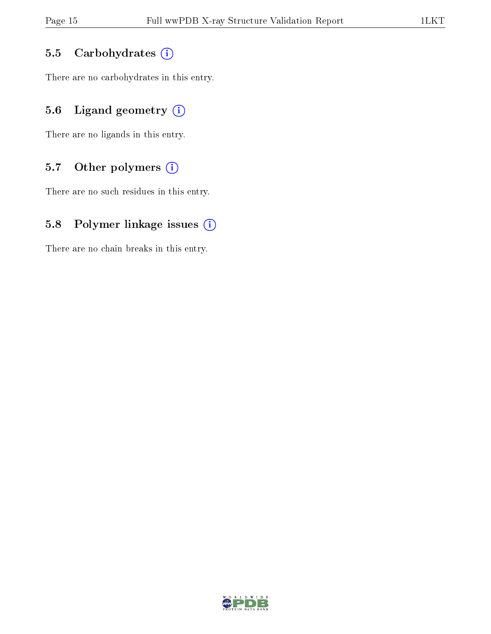### 5.5 Carbohydrates  $(i)$

There are no carbohydrates in this entry.

## 5.6 Ligand geometry  $(i)$

There are no ligands in this entry.

## 5.7 [O](https://www.wwpdb.org/validation/2017/XrayValidationReportHelp#nonstandard_residues_and_ligands)ther polymers  $(i)$

There are no such residues in this entry.

### 5.8 Polymer linkage issues  $(i)$

There are no chain breaks in this entry.